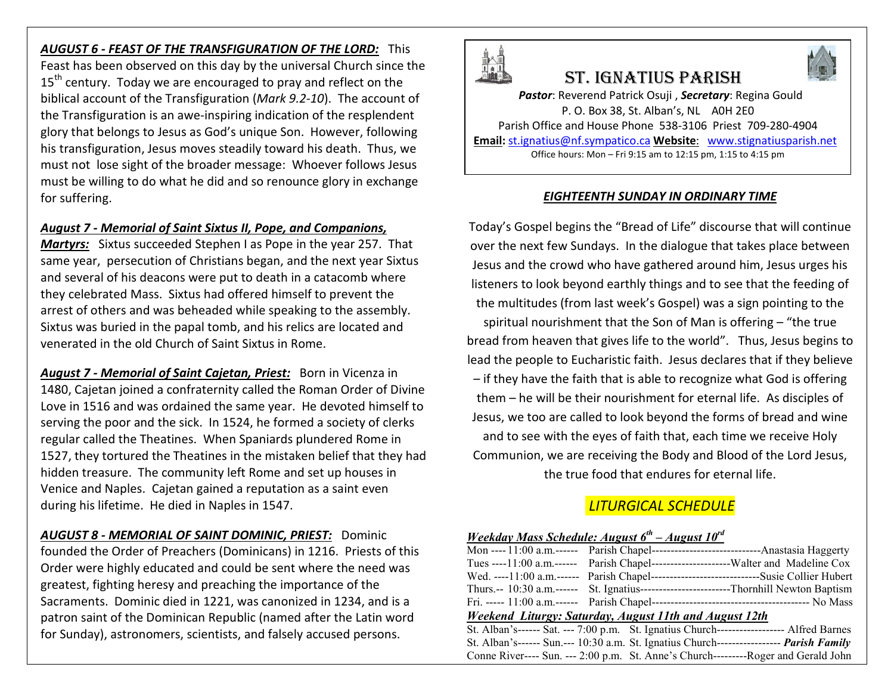*AUGUST 6 - FEAST OF THE TRANSFIGURATION OF THE LORD:* This Feast has been observed on this day by the universal Church since the 15<sup>th</sup> century. Today we are encouraged to pray and reflect on the biblical account of the Transfiguration (*Mark 9.2-10*). The account of the Transfiguration is an awe-inspiring indication of the resplendent glory that belongs to Jesus as God's unique Son. However, following his transfiguration, Jesus moves steadily toward his death. Thus, we must not lose sight of the broader message: Whoever follows Jesus must be willing to do what he did and so renounce glory in exchange for suffering.

#### *August 7 - Memorial of Saint Sixtus II, Pope, and Companions,*

*Martyrs:* Sixtus succeeded Stephen I as Pope in the year 257. That same year, persecution of Christians began, and the next year Sixtus and several of his deacons were put to death in a catacomb where they celebrated Mass. Sixtus had offered himself to prevent the arrest of others and was beheaded while speaking to the assembly. Sixtus was buried in the papal tomb, and his relics are located and venerated in the old Church of Saint Sixtus in Rome.

*August 7 - Memorial of Saint Cajetan, Priest:* Born in Vicenza in 1480, Cajetan joined a confraternity called the Roman Order of Divine Love in 1516 and was ordained the same year. He devoted himself to serving the poor and the sick. In 1524, he formed a society of clerks regular called the Theatines. When Spaniards plundered Rome in 1527, they tortured the Theatines in the mistaken belief that they had hidden treasure. The community left Rome and set up houses in Venice and Naples. Cajetan gained a reputation as a saint even during his lifetime. He died in Naples in 1547.

*AUGUST 8 - MEMORIAL OF SAINT DOMINIC, PRIEST:* Dominic founded the Order of Preachers (Dominicans) in 1216. Priests of this Order were highly educated and could be sent where the need was greatest, fighting heresy and preaching the importance of the Sacraments. Dominic died in 1221, was canonized in 1234, and is a patron saint of the Dominican Republic (named after the Latin word for Sunday), astronomers, scientists, and falsely accused persons.



# St. IgnatIuS parISh

*Pastor*: Reverend Patrick Osuji , *Secretary*: Regina Gould P. O. Box 38, St. Alban's, NL A0H 2E0 Parish Office and House Phone 538-3106 Priest 709-280-4904 **Email:** st.ignatius@nf.sympatico.ca **Website**: www.stignatiusparish.net Office hours: Mon – Fri 9:15 am to 12:15 pm, 1:15 to 4:15 pm

### *EIGHTEENTH SUNDAY IN ORDINARY TIME*

Today's Gospel begins the "Bread of Life" discourse that will continue over the next few Sundays. In the dialogue that takes place between Jesus and the crowd who have gathered around him, Jesus urges his listeners to look beyond earthly things and to see that the feeding of the multitudes (from last week's Gospel) was a sign pointing to the spiritual nourishment that the Son of Man is offering – "the true bread from heaven that gives life to the world". Thus, Jesus begins to lead the people to Eucharistic faith. Jesus declares that if they believe – if they have the faith that is able to recognize what God is offering them – he will be their nourishment for eternal life. As disciples of Jesus, we too are called to look beyond the forms of bread and wine and to see with the eyes of faith that, each time we receive Holy Communion, we are receiving the Body and Blood of the Lord Jesus, the true food that endures for eternal life.

# *LITURGICAL SCHEDULE*

| Weekday Mass Schedule: August $6^{th}$ – August $10^{rd}$ |  |                                                                                            |  |  |  |  |  |
|-----------------------------------------------------------|--|--------------------------------------------------------------------------------------------|--|--|--|--|--|
|                                                           |  |                                                                                            |  |  |  |  |  |
|                                                           |  | Tues ----11:00 a.m.------ Parish Chapel---------------------------Walter and Madeline Cox  |  |  |  |  |  |
|                                                           |  | Wed. ----11:00 a.m.------ Parish Chapel------------------------------Susie Collier Hubert  |  |  |  |  |  |
|                                                           |  | Thurs.-- 10:30 a.m.------ St. Ignatius----------------------------Thornhill Newton Baptism |  |  |  |  |  |
|                                                           |  |                                                                                            |  |  |  |  |  |
| Weekend Liturgy: Saturday, August 11th and August 12th    |  |                                                                                            |  |  |  |  |  |
|                                                           |  | St. Alban's------ Sat. --- 7:00 p.m. St. Ignatius Church------------------- Alfred Barnes  |  |  |  |  |  |
|                                                           |  | St. Alban's------ Sun.--- 10:30 a.m. St. Ignatius Church----------------- Parish Family    |  |  |  |  |  |
|                                                           |  | Conne River---- Sun. --- 2:00 p.m. St. Anne's Church---------Roger and Gerald John         |  |  |  |  |  |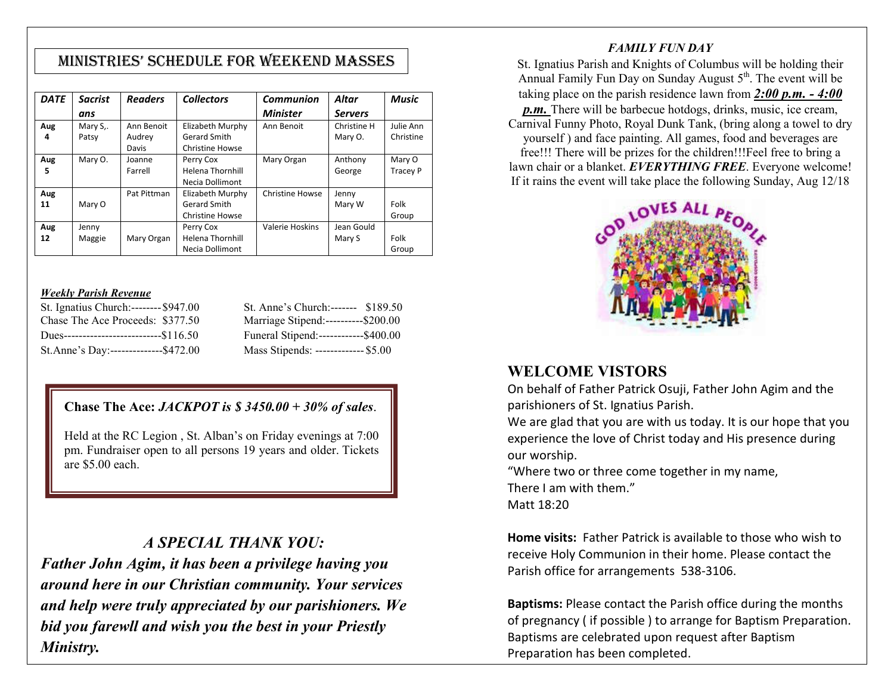# MInIStrIeS' Schedule for Weekend MaSSeS

| <b>DATE</b> | <b>Sacrist</b> | <b>Readers</b> | <b>Collectors</b>       | <b>Communion</b>       | Altar          | <b>Music</b>    |
|-------------|----------------|----------------|-------------------------|------------------------|----------------|-----------------|
|             | ans            |                |                         | <b>Minister</b>        | <b>Servers</b> |                 |
| Aug         | Mary S,.       | Ann Benoit     | Elizabeth Murphy        | Ann Benoit             | Christine H    | Julie Ann       |
| 4           | Patsy          | Audrey         | Gerard Smith            |                        | Mary O.        | Christine       |
|             |                | Davis          | <b>Christine Howse</b>  |                        |                |                 |
| Aug         | Mary O.        | Joanne         | Perry Cox               | Mary Organ             | Anthony        | Mary O          |
| 5           |                | Farrell        | <b>Helena Thornhill</b> |                        | George         | <b>Tracey P</b> |
|             |                |                | Necia Dollimont         |                        |                |                 |
| Aug         |                | Pat Pittman    | Elizabeth Murphy        | <b>Christine Howse</b> | Jenny          |                 |
| 11          | Mary O         |                | Gerard Smith            |                        | Mary W         | Folk            |
|             |                |                | <b>Christine Howse</b>  |                        |                | Group           |
| Aug         | Jenny          |                | Perry Cox               | Valerie Hoskins        | Jean Gould     |                 |
| 12          | Maggie         | Mary Organ     | <b>Helena Thornhill</b> |                        | Mary S         | Folk            |
|             |                |                | <b>Necia Dollimont</b>  |                        |                | Group           |

#### *Weekly Parish Revenue*

| St. Ignatius Church:-------- \$947.00       | St. Anne's Church:------- \$189.50    |  |
|---------------------------------------------|---------------------------------------|--|
| Chase The Ace Proceeds: \$377.50            | Marriage Stipend:----------\$200.00   |  |
| Dues-------------------------------\$116.50 | Funeral Stipend:-------------\$400.00 |  |
| St.Anne's Day:---------------\$472.00       | Mass Stipends: ------------- \$5.00   |  |

# **Chase The Ace:** *JACKPOT is \$ 3450.00 + 30% of sales*.

Held at the RC Legion , St. Alban's on Friday evenings at 7:00 pm. Fundraiser open to all persons 19 years and older. Tickets are \$5.00 each.

# *A SPECIAL THANK YOU:*

*Father John Agim, it has been a privilege having you around here in our Christian community. Your services and help were truly appreciated by our parishioners. We bid you farewll and wish you the best in your Priestly Ministry.*

#### *FAMILY FUN DAY*

St. Ignatius Parish and Knights of Columbus will be holding their Annual Family Fun Day on Sunday August  $5<sup>th</sup>$ . The event will be taking place on the parish residence lawn from *2:00 p.m. - 4:00 p.m.* There will be barbecue hotdogs, drinks, music, ice cream, Carnival Funny Photo, Royal Dunk Tank, (bring along a towel to dry yourself ) and face painting. All games, food and beverages are free!!! There will be prizes for the children!!!Feel free to bring a lawn chair or a blanket. *EVERYTHING FREE*. Everyone welcome! If it rains the event will take place the following Sunday, Aug 12/18



# **WELCOME VISTORS**

On behalf of Father Patrick Osuji, Father John Agim and the parishioners of St. Ignatius Parish.

We are glad that you are with us today. It is our hope that you experience the love of Christ today and His presence during our worship.

"Where two or three come together in my name, There I am with them." Matt 18:20

**Home visits:** Father Patrick is available to those who wish to receive Holy Communion in their home. Please contact the Parish office for arrangements 538-3106.

**Baptisms:** Please contact the Parish office during the months of pregnancy ( if possible ) to arrange for Baptism Preparation. Baptisms are celebrated upon request after Baptism Preparation has been completed.